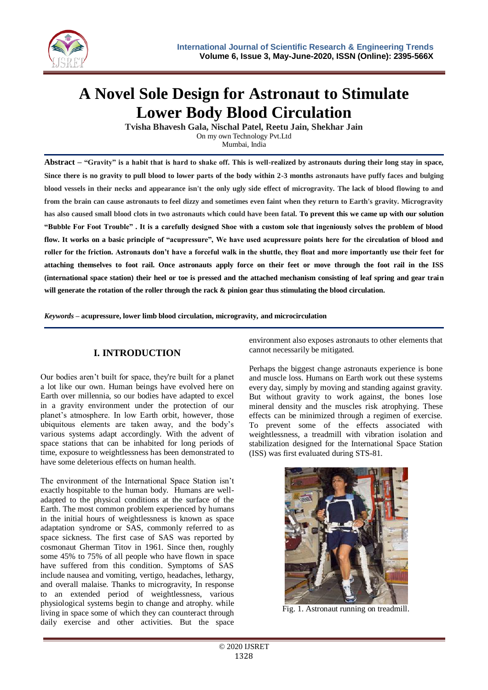

# **A Novel Sole Design for Astronaut to Stimulate Lower Body Blood Circulation**

**Tvisha Bhavesh Gala, Nischal Patel, Reetu Jain, Shekhar Jain** On my own Technology Pvt.Ltd

Mumbai, India

**Abstract – "Gravity" is a habit that is hard to shake off. This is well-realized by astronauts during their long stay in space, Since there is no gravity to pull blood to lower parts of the body within 2-3 months astronauts have puffy faces and bulging blood vessels in their necks and appearance isn't the only ugly side effect of microgravity. The lack of blood flowing to and from the brain can cause astronauts to feel dizzy and sometimes even faint when they return to Earth's gravity. Microgravity has also caused small blood clots in two astronauts which could have been fatal. To prevent this we came up with our solution "Bubble For Foot Trouble" . It is a carefully designed Shoe with a custom sole that ingeniously solves the problem of blood flow. It works on a basic principle of "acupressure", We have used acupressure points here for the circulation of blood and roller for the friction. Astronauts don't have a forceful walk in the shuttle, they float and more importantly use their feet for attaching themselves to foot rail. Once astronauts apply force on their feet or move through the foot rail in the ISS (international space station) their heel or toe is pressed and the attached mechanism consisting of leaf spring and gear train will generate the rotation of the roller through the rack & pinion gear thus stimulating the blood circulation.**

*Keywords* **– acupressure, lower limb blood circulation, microgravity, and microcirculation**

## **I. INTRODUCTION**

Our bodies aren't built for space, they're built for a planet a lot like our own. Human beings have evolved here on Earth over millennia, so our bodies have adapted to excel in a gravity environment under the protection of our planet's atmosphere. In low Earth orbit, however, those ubiquitous elements are taken away, and the body's various systems adapt accordingly. With the advent of space stations that can be inhabited for long periods of time, exposure to weightlessness has been demonstrated to have some deleterious effects on human health.

The environment of the International Space Station isn't exactly hospitable to the human body. Humans are welladapted to the physical conditions at the surface of the Earth. The most common problem experienced by humans in the initial hours of weightlessness is known as space adaptation syndrome or SAS, commonly referred to as space sickness. The first case of SAS was reported by cosmonaut Gherman Titov in 1961. Since then, roughly some 45% to 75% of all people who have flown in space have suffered from this condition. Symptoms of SAS include nausea and vomiting, vertigo, headaches, lethargy, and overall malaise. Thanks to microgravity, In response to an extended period of weightlessness, various physiological systems begin to change and atrophy. while living in space some of which they can counteract through daily exercise and other activities. But the space

environment also exposes astronauts to other elements that cannot necessarily be mitigated.

Perhaps the biggest change astronauts experience is bone and muscle loss. Humans on Earth work out these systems every day, simply by moving and standing against gravity. But without gravity to work against, the bones lose mineral density and the muscles risk atrophying. These effects can be minimized through a regimen of exercise. To prevent some of the effects associated with weightlessness, a treadmill with vibration isolation and stabilization designed for the International Space Station (ISS) was first evaluated during STS-81.



Fig. 1. Astronaut running on treadmill.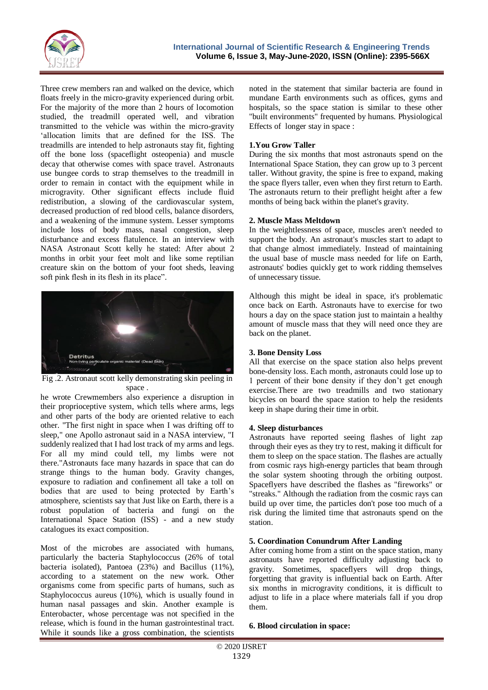

Three crew members ran and walked on the device, which floats freely in the micro-gravity experienced during orbit. For the majority of the more than 2 hours of locomotion studied, the treadmill operated well, and vibration transmitted to the vehicle was within the micro-gravity ‗allocation limits that are defined for the ISS. The treadmills are intended to help astronauts stay fit, fighting off the bone loss (spaceflight osteopenia) and muscle decay that otherwise comes with space travel. Astronauts use bungee cords to strap themselves to the treadmill in order to remain in contact with the equipment while in microgravity. Other significant effects include fluid redistribution, a slowing of the cardiovascular system, decreased production of red blood cells, balance disorders, and a weakening of the immune system. Lesser symptoms include loss of body mass, nasal congestion, sleep disturbance and excess flatulence. In an interview with NASA Astronaut Scott kelly he stated: After about 2 months in orbit your feet molt and like some reptilian creature skin on the bottom of your foot sheds, leaving soft pink flesh in its flesh in its place".



Fig .2. Astronaut scott kelly demonstrating skin peeling in space .

he wrote Crewmembers also experience a disruption in their proprioceptive system, which tells where arms, legs and other parts of the body are oriented relative to each other. "The first night in space when I was drifting off to sleep," one Apollo astronaut said in a NASA interview, "I suddenly realized that I had lost track of my arms and legs. For all my mind could tell, my limbs were not there."Astronauts face many hazards in space that can do strange things to the human body. Gravity changes, exposure to radiation and confinement all take a toll on bodies that are used to being protected by Earth's atmosphere, scientists say that Just like on Earth, there is a robust population of bacteria and fungi on the International Space Station (ISS) - and a new study catalogues its exact composition.

Most of the microbes are associated with humans, particularly the bacteria Staphylococcus (26% of total bacteria isolated), Pantoea (23%) and Bacillus (11%), according to a statement on the new work. Other organisms come from specific parts of humans, such as Staphylococcus aureus (10%), which is usually found in human nasal passages and skin. Another example is Enterobacter, whose percentage was not specified in the release, which is found in the human gastrointestinal tract. While it sounds like a gross combination, the scientists noted in the statement that similar bacteria are found in mundane Earth environments such as offices, gyms and hospitals, so the space station is similar to these other "built environments" frequented by humans. Physiological Effects of longer stay in space :

#### **1.You Grow Taller**

During the six months that most astronauts spend on the International Space Station, they can grow up to 3 percent taller. Without gravity, the spine is free to expand, making the space flyers taller, even when they first return to Earth. The astronauts return to their preflight height after a few months of being back within the planet's gravity.

#### **2. Muscle Mass Meltdown**

In the weightlessness of space, muscles aren't needed to support the body. An astronaut's muscles start to adapt to that change almost immediately. Instead of maintaining the usual base of muscle mass needed for life on Earth, astronauts' bodies quickly get to work ridding themselves of unnecessary tissue.

Although this might be ideal in space, it's problematic once back on Earth. Astronauts have to exercise for two hours a day on the space station just to maintain a healthy amount of muscle mass that they will need once they are back on the planet.

#### **3. Bone Density Loss**

All that exercise on the space station also helps prevent bone-density loss. Each month, astronauts could lose up to 1 percent of their bone density if they don't get enough exercise.There are two treadmills and two stationary bicycles on board the space station to help the residents keep in shape during their time in orbit.

#### **4. Sleep disturbances**

Astronauts have reported seeing flashes of light zap through their eyes as they try to rest, making it difficult for them to sleep on the space station. The flashes are actually from cosmic rays high-energy particles that beam through the solar system shooting through the orbiting outpost. Spaceflyers have described the flashes as "fireworks" or "streaks." Although the radiation from the cosmic rays can build up over time, the particles don't pose too much of a risk during the limited time that astronauts spend on the station.

#### **5. Coordination Conundrum After Landing**

After coming home from a stint on the space station, many astronauts have reported difficulty adjusting back to gravity. Sometimes, spaceflyers will drop things, forgetting that gravity is influential back on Earth. After six months in microgravity conditions, it is difficult to adjust to life in a place where materials fall if you drop them.

#### **6. Blood circulation in space:**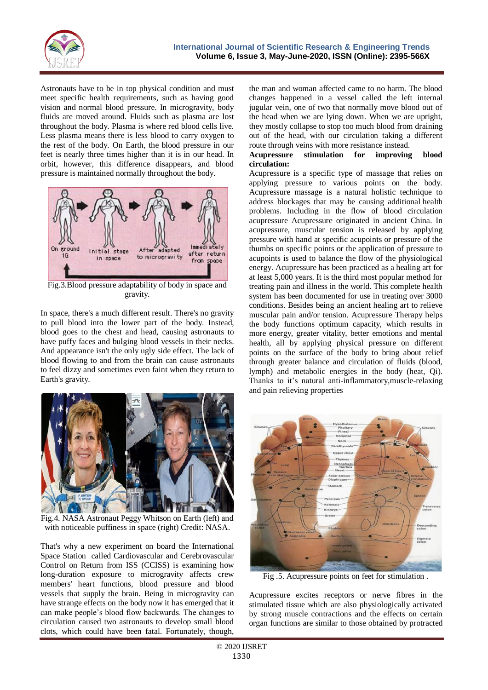

Astronauts have to be in top physical condition and must meet specific health requirements, such as having good vision and normal blood pressure. In microgravity, body fluids are moved around. Fluids such as plasma are lost throughout the body. Plasma is where red blood cells live. Less plasma means there is less blood to carry oxygen to the rest of the body. On Earth, the blood pressure in our feet is nearly three times higher than it is in our head. In orbit, however, this difference disappears, and blood pressure is maintained normally throughout the body.



gravity.

In space, there's a much different result. There's no gravity to pull blood into the lower part of the body. Instead, blood goes to the chest and head, causing astronauts to have puffy faces and bulging blood vessels in their necks. And appearance isn't the only ugly side effect. The lack of blood flowing to and from the brain can cause astronauts to feel dizzy and sometimes even faint when they return to Earth's gravity.



Fig.4. NASA Astronaut Peggy Whitson on Earth (left) and with noticeable puffiness in space (right) Credit: NASA.

That's why a new experiment on board the International Space Station called Cardiovascular and Cerebrovascular Control on Return from ISS (CCISS) is examining how long-duration exposure to microgravity affects crew members' heart functions, blood pressure and blood vessels that supply the brain. Being in microgravity can have strange effects on the body now it has emerged that it can make people's blood flow backwards. The changes to circulation caused two astronauts to develop small blood clots, which could have been fatal. Fortunately, though,

the man and woman affected came to no harm. The blood changes happened in a vessel called the left internal jugular vein, one of two that normally move blood out of the head when we are lying down. When we are upright, they mostly collapse to stop too much blood from draining out of the head, with our circulation taking a different route through veins with more resistance instead.

#### **Acupressure stimulation for improving blood circulation:**

Acupressure is a specific type of massage that relies on applying pressure to various points on the body. Acupressure massage is a natural holistic technique to address blockages that may be causing additional health problems. Including in the flow of blood circulation acupressure Acupressure originated in ancient China. In acupressure, muscular tension is released by applying pressure with hand at specific acupoints or pressure of the thumbs on specific points or the application of pressure to acupoints is used to balance the flow of the physiological energy. Acupressure has been practiced as a healing art for at least 5,000 years. It is the third most popular method for treating pain and illness in the world. This complete health system has been documented for use in treating over 3000 conditions. Besides being an ancient healing art to relieve muscular pain and/or tension. Acupressure Therapy helps the body functions optimum capacity, which results in more energy, greater vitality, better emotions and mental health, all by applying physical pressure on different points on the surface of the body to bring about relief through greater balance and circulation of fluids (blood, lymph) and metabolic energies in the body (heat, Qi). Thanks to it's natural anti-inflammatory,muscle-relaxing and pain relieving properties



Fig .5. Acupressure points on feet for stimulation .

Acupressure excites receptors or nerve fibres in the stimulated tissue which are also physiologically activated by strong muscle contractions and the effects on certain organ functions are similar to those obtained by protracted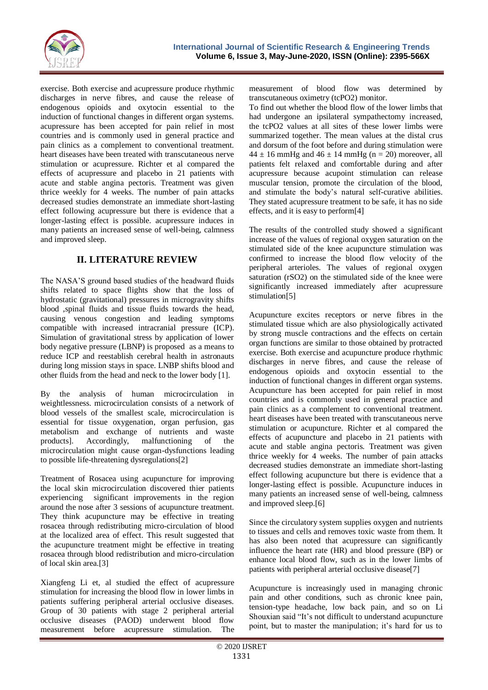

exercise. Both exercise and acupressure produce rhythmic discharges in nerve fibres, and cause the release of endogenous opioids and oxytocin essential to the induction of functional changes in different organ systems. acupressure has been accepted for pain relief in most countries and is commonly used in general practice and pain clinics as a complement to conventional treatment. heart diseases have been treated with transcutaneous nerve stimulation or acupressure. Richter et al compared the effects of acupressure and placebo in 21 patients with acute and stable angina pectoris. Treatment was given thrice weekly for 4 weeks. The number of pain attacks decreased studies demonstrate an immediate short-lasting effect following acupressure but there is evidence that a longer-lasting effect is possible. acupressure induces in many patients an increased sense of well-being, calmness and improved sleep.

## **II. LITERATURE REVIEW**

The NASA'S ground based studies of the headward fluids shifts related to space flights show that the loss of hydrostatic (gravitational) pressures in microgravity shifts blood ,spinal fluids and tissue fluids towards the head, causing venous congestion and leading symptoms compatible with increased intracranial pressure (ICP). Simulation of gravitational stress by application of lower body negative pressure (LBNP) is proposed as a means to reduce ICP and reestablish cerebral health in astronauts during long mission stays in space. LNBP shifts blood and other fluids from the head and neck to the lower body [1].

By the analysis of human microcirculation in weightlessness. microcirculation consists of a network of blood vessels of the smallest scale, microcirculation is essential for tissue oxygenation, organ perfusion, gas metabolism and exchange of nutrients and waste products]. Accordingly, malfunctioning of the microcirculation might cause organ-dysfunctions leading to possible life-threatening dysregulations[2]

Treatment of Rosacea using acupuncture for improving the local skin microcirculation discovered thier patients experiencing significant improvements in the region around the nose after 3 sessions of acupuncture treatment. They think acupuncture may be effective in treating rosacea through redistributing micro-circulation of blood at the localized area of effect. This result suggested that the acupuncture treatment might be effective in treating rosacea through blood redistribution and micro-circulation of local skin area.[3]

Xiangfeng Li et, al studied the effect of acupressure stimulation for increasing the blood flow in lower limbs in patients suffering peripheral arterial occlusive diseases. Group of 30 patients with stage 2 peripheral arterial occlusive diseases (PAOD) underwent blood flow measurement before acupressure stimulation. The

measurement of blood flow was determined by transcutaneous oximetry (tcPO2) monitor.

To find out whether the blood flow of the lower limbs that had undergone an ipsilateral sympathectomy increased, the tcPO2 values at all sites of these lower limbs were summarized together. The mean values at the distal crus and dorsum of the foot before and during stimulation were  $44 \pm 16$  mmHg and  $46 \pm 14$  mmHg (n = 20) moreover, all patients felt relaxed and comfortable during and after acupressure because acupoint stimulation can release muscular tension, promote the circulation of the blood, and stimulate the body's natural self-curative abilities. They stated acupressure treatment to be safe, it has no side effects, and it is easy to perform[4]

The results of the controlled study showed a significant increase of the values of regional oxygen saturation on the stimulated side of the knee acupuncture stimulation was confirmed to increase the blood flow velocity of the peripheral arterioles. The values of regional oxygen saturation (rSO2) on the stimulated side of the knee were significantly increased immediately after acupressure stimulation[5]

Acupuncture excites receptors or nerve fibres in the stimulated tissue which are also physiologically activated by strong muscle contractions and the effects on certain organ functions are similar to those obtained by protracted exercise. Both exercise and acupuncture produce rhythmic discharges in nerve fibres, and cause the release of endogenous opioids and oxytocin essential to the induction of functional changes in different organ systems. Acupuncture has been accepted for pain relief in most countries and is commonly used in general practice and pain clinics as a complement to conventional treatment. heart diseases have been treated with transcutaneous nerve stimulation or acupuncture. Richter et al compared the effects of acupuncture and placebo in 21 patients with acute and stable angina pectoris. Treatment was given thrice weekly for 4 weeks. The number of pain attacks decreased studies demonstrate an immediate short-lasting effect following acupuncture but there is evidence that a longer-lasting effect is possible. Acupuncture induces in many patients an increased sense of well-being, calmness and improved sleep.[6]

Since the circulatory system supplies oxygen and nutrients to tissues and cells and removes toxic waste from them. It has also been noted that acupressure can significantly influence the heart rate (HR) and blood pressure (BP) or enhance local blood flow, such as in the lower limbs of patients with peripheral arterial occlusive disease[7]

Acupuncture is increasingly used in managing chronic pain and other conditions, such as chronic knee pain, tension-type headache, low back pain, and so on Li Shouxian said "It's not difficult to understand acupuncture point, but to master the manipulation; it's hard for us to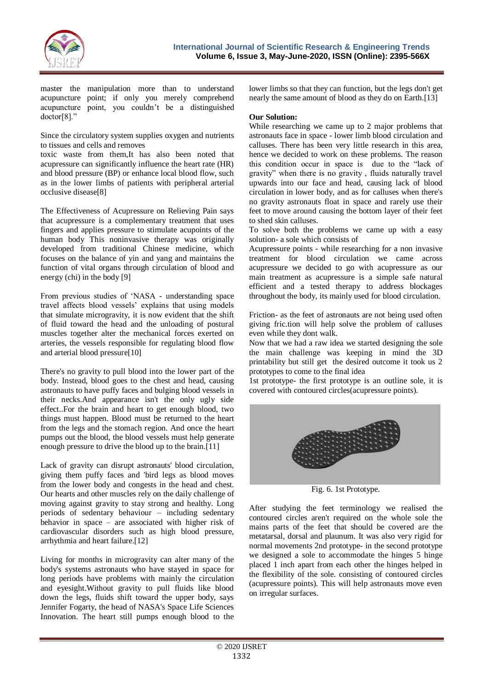

master the manipulation more than to understand acupuncture point; if only you merely comprehend acupuncture point, you couldn't be a distinguished doctor[8]."

Since the circulatory system supplies oxygen and nutrients to tissues and cells and removes

toxic waste from them,It has also been noted that acupressure can significantly influence the heart rate (HR) and blood pressure (BP) or enhance local blood flow, such as in the lower limbs of patients with peripheral arterial occlusive disease[8]

The Effectiveness of Acupressure on Relieving Pain says that acupressure is a complementary treatment that uses fingers and applies pressure to stimulate acupoints of the human body This noninvasive therapy was originally developed from traditional Chinese medicine, which focuses on the balance of yin and yang and maintains the function of vital organs through circulation of blood and energy (chi) in the body [9]

From previous studies of 'NASA - understanding space travel affects blood vessels' explains that using models that simulate microgravity, it is now evident that the shift of fluid toward the head and the unloading of postural muscles together alter the mechanical forces exerted on arteries, the vessels responsible for regulating blood flow and arterial blood pressure[10]

There's no gravity to pull blood into the lower part of the body. Instead, blood goes to the chest and head, causing astronauts to have puffy faces and bulging blood vessels in their necks.And appearance isn't the only ugly side effect..For the brain and heart to get enough blood, two things must happen. Blood must be returned to the heart from the legs and the stomach region. And once the heart pumps out the blood, the blood vessels must help generate enough pressure to drive the blood up to the brain.[11]

Lack of gravity can disrupt astronauts' blood circulation, giving them puffy faces and 'bird legs as blood moves from the lower body and congests in the head and chest. Our hearts and other muscles rely on the daily challenge of moving against gravity to stay strong and healthy. Long periods of sedentary behaviour – including sedentary behavior in space – are associated with higher risk of cardiovascular disorders such as high blood pressure, arrhythmia and heart failure.[12]

Living for months in microgravity can alter many of the body's systems astronauts who have stayed in space for long periods have problems with mainly the circulation and eyesight.Without gravity to pull fluids like blood down the legs, fluids shift toward the upper body, says Jennifer Fogarty, the head of NASA's Space Life Sciences Innovation. The heart still pumps enough blood to the

lower limbs so that they can function, but the legs don't get nearly the same amount of blood as they do on Earth.[13]

#### **Our Solution:**

While researching we came up to 2 major problems that astronauts face in space - lower limb blood circulation and calluses. There has been very little research in this area, hence we decided to work on these problems. The reason this condition occur in space is due to the "lack of gravity" when there is no gravity, fluids naturally travel upwards into our face and head, causing lack of blood circulation in lower body, and as for calluses when there's no gravity astronauts float in space and rarely use their feet to move around causing the bottom layer of their feet to shed skin calluses.

To solve both the problems we came up with a easy solution- a sole which consists of

Acupressure points - while researching for a non invasive treatment for blood circulation we came across acupressure we decided to go with acupressure as our main treatment as acupressure is a simple safe natural efficient and a tested therapy to address blockages throughout the body, its mainly used for blood circulation.

Friction- as the feet of astronauts are not being used often giving fric.tion will help solve the problem of calluses even while they dont walk.

Now that we had a raw idea we started designing the sole the main challenge was keeping in mind the 3D printability but still get the desired outcome it took us 2 prototypes to come to the final idea

1st prototype- the first prototype is an outline sole, it is covered with contoured circles(acupressure points).



Fig. 6. 1st Prototype.

After studying the feet terminology we realised the contoured circles aren't required on the whole sole the mains parts of the feet that should be covered are the metatarsal, dorsal and plaunum. It was also very rigid for normal movements 2nd prototype- in the second prototype we designed a sole to accommodate the hinges 5 hinge placed 1 inch apart from each other the hinges helped in the flexibility of the sole. consisting of contoured circles (acupressure points). This will help astronauts move even on irregular surfaces.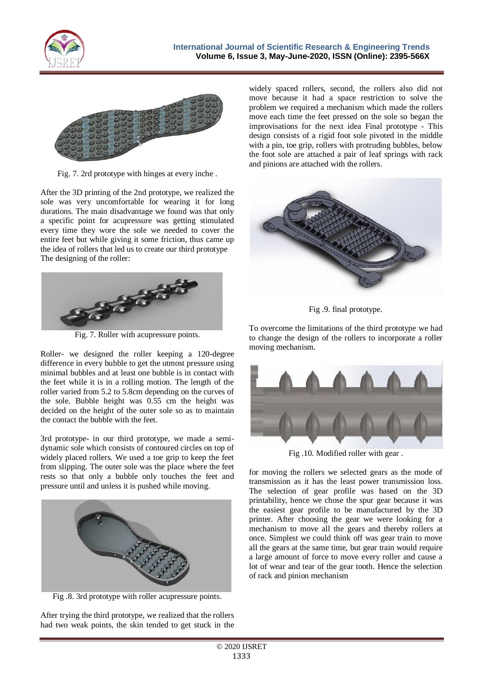



Fig. 7. 2rd prototype with hinges at every inche .

After the 3D printing of the 2nd prototype, we realized the sole was very uncomfortable for wearing it for long durations. The main disadvantage we found was that only a specific point for acupressure was getting stimulated every time they wore the sole we needed to cover the entire feet but while giving it some friction, thus came up the idea of rollers that led us to create our third prototype The designing of the roller:



Fig. 7. Roller with acupressure points.

Roller- we designed the roller keeping a 120-degree difference in every bubble to get the utmost pressure using minimal bubbles and at least one bubble is in contact with the feet while it is in a rolling motion. The length of the roller varied from 5.2 to 5.8cm depending on the curves of the sole. Bubble height was 0.55 cm the height was decided on the height of the outer sole so as to maintain the contact the bubble with the feet.

3rd prototype- in our third prototype, we made a semidynamic sole which consists of contoured circles on top of widely placed rollers. We used a toe grip to keep the feet from slipping. The outer sole was the place where the feet rests so that only a bubble only touches the feet and pressure until and unless it is pushed while moving.



Fig .8. 3rd prototype with roller acupressure points.

After trying the third prototype, we realized that the rollers had two weak points, the skin tended to get stuck in the widely spaced rollers, second, the rollers also did not move because it had a space restriction to solve the problem we required a mechanism which made the rollers move each time the feet pressed on the sole so began the improvisations for the next idea Final prototype - This design consists of a rigid foot sole pivoted in the middle with a pin, toe grip, rollers with protruding bubbles, below the foot sole are attached a pair of leaf springs with rack and pinions are attached with the rollers.



Fig .9. final prototype.

To overcome the limitations of the third prototype we had to change the design of the rollers to incorporate a roller moving mechanism.



Fig .10. Modified roller with gear .

for moving the rollers we selected gears as the mode of transmission as it has the least power transmission loss. The selection of gear profile was based on the 3D printability, hence we chose the spur gear because it was the easiest gear profile to be manufactured by the 3D printer. After choosing the gear we were looking for a mechanism to move all the gears and thereby rollers at once. Simplest we could think off was gear train to move all the gears at the same time, but gear train would require a large amount of force to move every roller and cause a lot of wear and tear of the gear tooth. Hence the selection of rack and pinion mechanism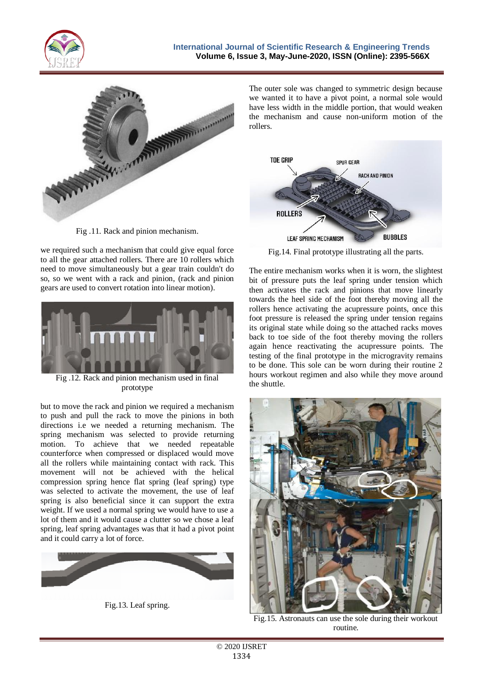



Fig .11. Rack and pinion mechanism.

we required such a mechanism that could give equal force to all the gear attached rollers. There are 10 rollers which need to move simultaneously but a gear train couldn't do so, so we went with a rack and pinion, (rack and pinion gears are used to convert rotation into linear motion).



Fig .12. Rack and pinion mechanism used in final prototype

but to move the rack and pinion we required a mechanism to push and pull the rack to move the pinions in both directions i.e we needed a returning mechanism. The spring mechanism was selected to provide returning motion. To achieve that we needed repeatable counterforce when compressed or displaced would move all the rollers while maintaining contact with rack. This movement will not be achieved with the helical compression spring hence flat spring (leaf spring) type was selected to activate the movement, the use of leaf spring is also beneficial since it can support the extra weight. If we used a normal spring we would have to use a lot of them and it would cause a clutter so we chose a leaf spring, leaf spring advantages was that it had a pivot point and it could carry a lot of force.



The outer sole was changed to symmetric design because we wanted it to have a pivot point, a normal sole would have less width in the middle portion, that would weaken the mechanism and cause non-uniform motion of the rollers.



Fig.14. Final prototype illustrating all the parts.

The entire mechanism works when it is worn, the slightest bit of pressure puts the leaf spring under tension which then activates the rack and pinions that move linearly towards the heel side of the foot thereby moving all the rollers hence activating the acupressure points, once this foot pressure is released the spring under tension regains its original state while doing so the attached racks moves back to toe side of the foot thereby moving the rollers again hence reactivating the acupressure points. The testing of the final prototype in the microgravity remains to be done. This sole can be worn during their routine 2 hours workout regimen and also while they move around the shuttle.



Fig.15. Astronauts can use the sole during their workout routine.